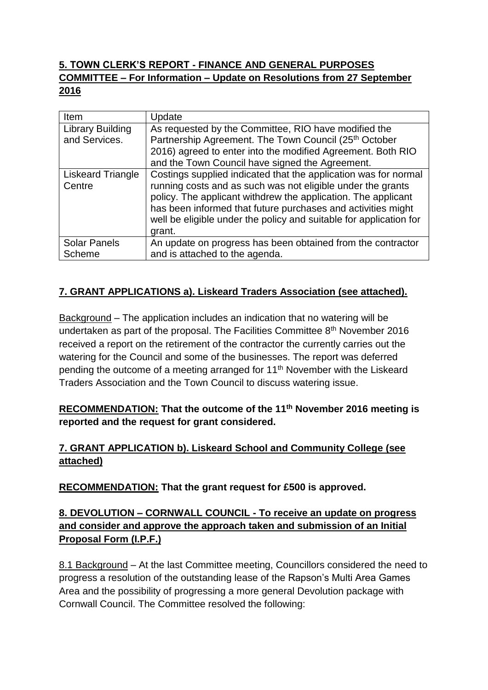# **5. TOWN CLERK'S REPORT - FINANCE AND GENERAL PURPOSES COMMITTEE – For Information – Update on Resolutions from 27 September 2016**

| Item                | Update                                                                                                                                                                                                                                                                       |
|---------------------|------------------------------------------------------------------------------------------------------------------------------------------------------------------------------------------------------------------------------------------------------------------------------|
| Library Building    | As requested by the Committee, RIO have modified the                                                                                                                                                                                                                         |
| and Services.       | Partnership Agreement. The Town Council (25 <sup>th</sup> October                                                                                                                                                                                                            |
|                     | 2016) agreed to enter into the modified Agreement. Both RIO                                                                                                                                                                                                                  |
|                     | and the Town Council have signed the Agreement.                                                                                                                                                                                                                              |
| Liskeard Triangle   | Costings supplied indicated that the application was for normal                                                                                                                                                                                                              |
| Centre              | running costs and as such was not eligible under the grants<br>policy. The applicant withdrew the application. The applicant<br>has been informed that future purchases and activities might<br>well be eligible under the policy and suitable for application for<br>grant. |
| <b>Solar Panels</b> | An update on progress has been obtained from the contractor                                                                                                                                                                                                                  |
| Scheme              | and is attached to the agenda.                                                                                                                                                                                                                                               |

## **7. GRANT APPLICATIONS a). Liskeard Traders Association (see attached).**

Background – The application includes an indication that no watering will be undertaken as part of the proposal. The Facilities Committee 8th November 2016 received a report on the retirement of the contractor the currently carries out the watering for the Council and some of the businesses. The report was deferred pending the outcome of a meeting arranged for 11th November with the Liskeard Traders Association and the Town Council to discuss watering issue.

## **RECOMMENDATION: That the outcome of the 11th November 2016 meeting is reported and the request for grant considered.**

## **7. GRANT APPLICATION b). Liskeard School and Community College (see attached)**

**RECOMMENDATION: That the grant request for £500 is approved.**

## **8. DEVOLUTION – CORNWALL COUNCIL - To receive an update on progress and consider and approve the approach taken and submission of an Initial Proposal Form (I.P.F.)**

8.1 Background - At the last Committee meeting, Councillors considered the need to progress a resolution of the outstanding lease of the Rapson's Multi Area Games Area and the possibility of progressing a more general Devolution package with Cornwall Council. The Committee resolved the following: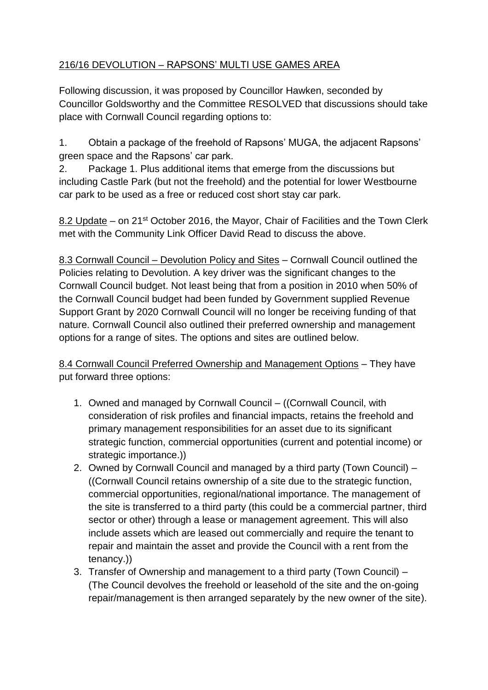# 216/16 DEVOLUTION – RAPSONS' MULTI USE GAMES AREA

Following discussion, it was proposed by Councillor Hawken, seconded by Councillor Goldsworthy and the Committee RESOLVED that discussions should take place with Cornwall Council regarding options to:

1. Obtain a package of the freehold of Rapsons' MUGA, the adjacent Rapsons' green space and the Rapsons' car park.

2. Package 1. Plus additional items that emerge from the discussions but including Castle Park (but not the freehold) and the potential for lower Westbourne car park to be used as a free or reduced cost short stay car park.

8.2 Update – on 21<sup>st</sup> October 2016, the Mayor, Chair of Facilities and the Town Clerk met with the Community Link Officer David Read to discuss the above.

8.3 Cornwall Council – Devolution Policy and Sites – Cornwall Council outlined the Policies relating to Devolution. A key driver was the significant changes to the Cornwall Council budget. Not least being that from a position in 2010 when 50% of the Cornwall Council budget had been funded by Government supplied Revenue Support Grant by 2020 Cornwall Council will no longer be receiving funding of that nature. Cornwall Council also outlined their preferred ownership and management options for a range of sites. The options and sites are outlined below.

8.4 Cornwall Council Preferred Ownership and Management Options – They have put forward three options:

- 1. Owned and managed by Cornwall Council ((Cornwall Council, with consideration of risk profiles and financial impacts, retains the freehold and primary management responsibilities for an asset due to its significant strategic function, commercial opportunities (current and potential income) or strategic importance.))
- 2. Owned by Cornwall Council and managed by a third party (Town Council) ((Cornwall Council retains ownership of a site due to the strategic function, commercial opportunities, regional/national importance. The management of the site is transferred to a third party (this could be a commercial partner, third sector or other) through a lease or management agreement. This will also include assets which are leased out commercially and require the tenant to repair and maintain the asset and provide the Council with a rent from the tenancy.))
- 3. Transfer of Ownership and management to a third party (Town Council) (The Council devolves the freehold or leasehold of the site and the on-going repair/management is then arranged separately by the new owner of the site).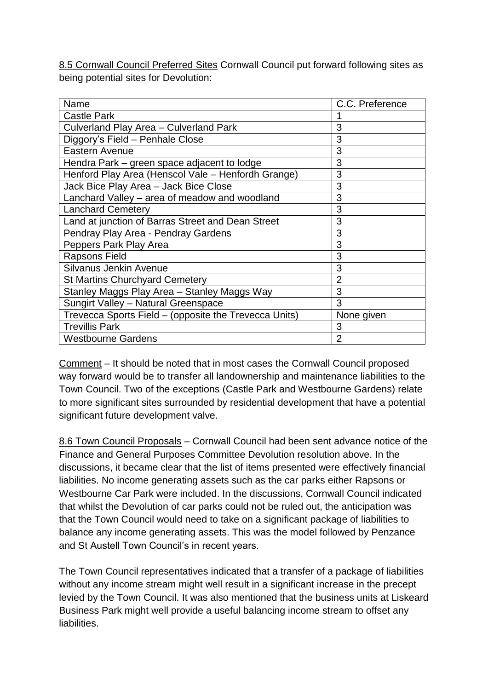8.5 Cornwall Council Preferred Sites Cornwall Council put forward following sites as being potential sites for Devolution:

| Name                                                  | C.C. Preference |
|-------------------------------------------------------|-----------------|
| <b>Castle Park</b>                                    |                 |
| Culverland Play Area - Culverland Park                | 3               |
| Diggory's Field - Penhale Close                       | 3               |
| Eastern Avenue                                        | 3               |
| Hendra Park – green space adjacent to lodge           | 3               |
| Henford Play Area (Henscol Vale - Henfordh Grange)    | 3               |
| Jack Bice Play Area - Jack Bice Close                 | 3               |
| Lanchard Valley - area of meadow and woodland         | 3               |
| <b>Lanchard Cemetery</b>                              | 3               |
| Land at junction of Barras Street and Dean Street     | 3               |
| Pendray Play Area - Pendray Gardens                   | 3               |
| Peppers Park Play Area                                | 3               |
| <b>Rapsons Field</b>                                  | 3               |
| Silvanus Jenkin Avenue                                | 3               |
| <b>St Martins Churchyard Cemetery</b>                 | $\overline{2}$  |
| Stanley Maggs Play Area - Stanley Maggs Way           | 3               |
| Sungirt Valley - Natural Greenspace                   | 3               |
| Trevecca Sports Field - (opposite the Trevecca Units) | None given      |
| <b>Trevillis Park</b>                                 | 3               |
| <b>Westbourne Gardens</b>                             | $\overline{2}$  |

Comment – It should be noted that in most cases the Cornwall Council proposed way forward would be to transfer all landownership and maintenance liabilities to the Town Council. Two of the exceptions (Castle Park and Westbourne Gardens) relate to more significant sites surrounded by residential development that have a potential significant future development valve.

8.6 Town Council Proposals – Cornwall Council had been sent advance notice of the Finance and General Purposes Committee Devolution resolution above. In the discussions, it became clear that the list of items presented were effectively financial liabilities. No income generating assets such as the car parks either Rapsons or Westbourne Car Park were included. In the discussions, Cornwall Council indicated that whilst the Devolution of car parks could not be ruled out, the anticipation was that the Town Council would need to take on a significant package of liabilities to balance any income generating assets. This was the model followed by Penzance and St Austell Town Council's in recent years.

The Town Council representatives indicated that a transfer of a package of liabilities without any income stream might well result in a significant increase in the precept levied by the Town Council. It was also mentioned that the business units at Liskeard Business Park might well provide a useful balancing income stream to offset any liabilities.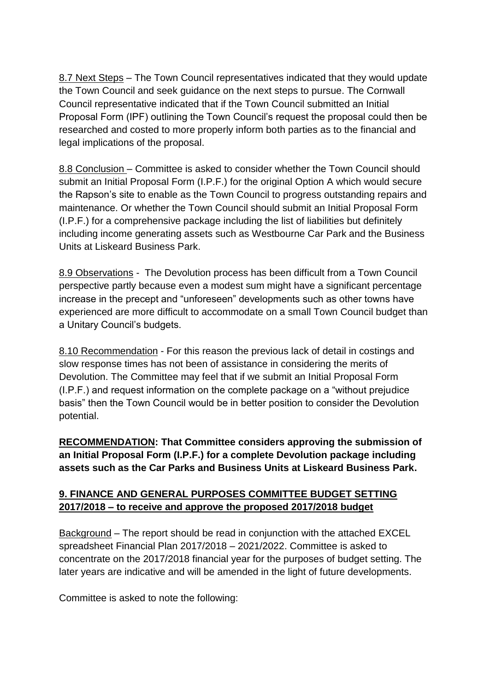8.7 Next Steps – The Town Council representatives indicated that they would update the Town Council and seek guidance on the next steps to pursue. The Cornwall Council representative indicated that if the Town Council submitted an Initial Proposal Form (IPF) outlining the Town Council's request the proposal could then be researched and costed to more properly inform both parties as to the financial and legal implications of the proposal.

8.8 Conclusion – Committee is asked to consider whether the Town Council should submit an Initial Proposal Form (I.P.F.) for the original Option A which would secure the Rapson's site to enable as the Town Council to progress outstanding repairs and maintenance. Or whether the Town Council should submit an Initial Proposal Form (I.P.F.) for a comprehensive package including the list of liabilities but definitely including income generating assets such as Westbourne Car Park and the Business Units at Liskeard Business Park.

8.9 Observations - The Devolution process has been difficult from a Town Council perspective partly because even a modest sum might have a significant percentage increase in the precept and "unforeseen" developments such as other towns have experienced are more difficult to accommodate on a small Town Council budget than a Unitary Council's budgets.

8.10 Recommendation - For this reason the previous lack of detail in costings and slow response times has not been of assistance in considering the merits of Devolution. The Committee may feel that if we submit an Initial Proposal Form (I.P.F.) and request information on the complete package on a "without prejudice basis" then the Town Council would be in better position to consider the Devolution potential.

**RECOMMENDATION: That Committee considers approving the submission of an Initial Proposal Form (I.P.F.) for a complete Devolution package including assets such as the Car Parks and Business Units at Liskeard Business Park.** 

### **9. FINANCE AND GENERAL PURPOSES COMMITTEE BUDGET SETTING 2017/2018 – to receive and approve the proposed 2017/2018 budget**

Background – The report should be read in conjunction with the attached EXCEL spreadsheet Financial Plan 2017/2018 – 2021/2022. Committee is asked to concentrate on the 2017/2018 financial year for the purposes of budget setting. The later years are indicative and will be amended in the light of future developments.

Committee is asked to note the following: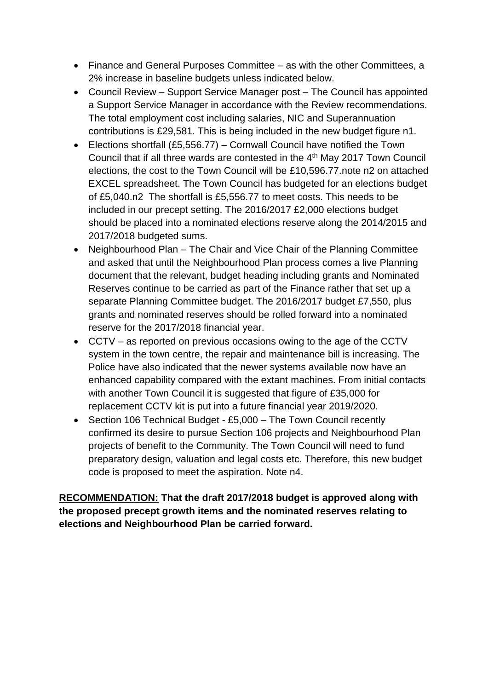- Finance and General Purposes Committee as with the other Committees, a 2% increase in baseline budgets unless indicated below.
- Council Review Support Service Manager post The Council has appointed a Support Service Manager in accordance with the Review recommendations. The total employment cost including salaries, NIC and Superannuation contributions is £29,581. This is being included in the new budget figure n1.
- Elections shortfall (£5,556.77) Cornwall Council have notified the Town Council that if all three wards are contested in the 4<sup>th</sup> May 2017 Town Council elections, the cost to the Town Council will be £10,596.77.note n2 on attached EXCEL spreadsheet. The Town Council has budgeted for an elections budget of £5,040.n2 The shortfall is £5,556.77 to meet costs. This needs to be included in our precept setting. The 2016/2017 £2,000 elections budget should be placed into a nominated elections reserve along the 2014/2015 and 2017/2018 budgeted sums.
- Neighbourhood Plan The Chair and Vice Chair of the Planning Committee and asked that until the Neighbourhood Plan process comes a live Planning document that the relevant, budget heading including grants and Nominated Reserves continue to be carried as part of the Finance rather that set up a separate Planning Committee budget. The 2016/2017 budget £7,550, plus grants and nominated reserves should be rolled forward into a nominated reserve for the 2017/2018 financial year.
- CCTV as reported on previous occasions owing to the age of the CCTV system in the town centre, the repair and maintenance bill is increasing. The Police have also indicated that the newer systems available now have an enhanced capability compared with the extant machines. From initial contacts with another Town Council it is suggested that figure of £35,000 for replacement CCTV kit is put into a future financial year 2019/2020.
- Section 106 Technical Budget £5,000 The Town Council recently confirmed its desire to pursue Section 106 projects and Neighbourhood Plan projects of benefit to the Community. The Town Council will need to fund preparatory design, valuation and legal costs etc. Therefore, this new budget code is proposed to meet the aspiration. Note n4.

**RECOMMENDATION: That the draft 2017/2018 budget is approved along with the proposed precept growth items and the nominated reserves relating to elections and Neighbourhood Plan be carried forward.**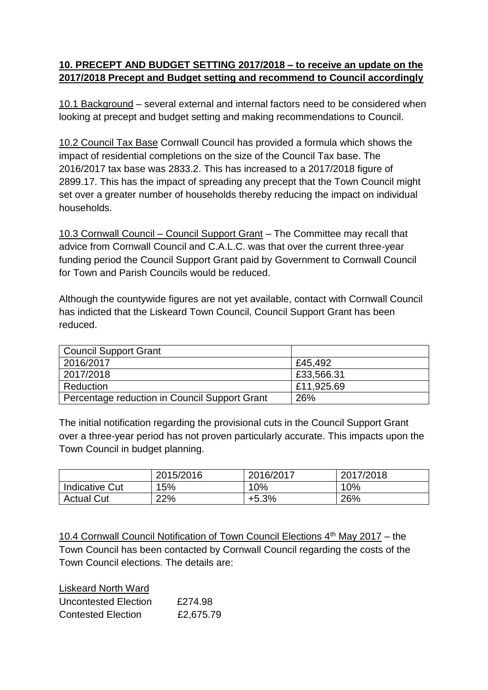### **10. PRECEPT AND BUDGET SETTING 2017/2018 – to receive an update on the 2017/2018 Precept and Budget setting and recommend to Council accordingly**

10.1 Background – several external and internal factors need to be considered when looking at precept and budget setting and making recommendations to Council.

10.2 Council Tax Base Cornwall Council has provided a formula which shows the impact of residential completions on the size of the Council Tax base. The 2016/2017 tax base was 2833.2. This has increased to a 2017/2018 figure of 2899.17. This has the impact of spreading any precept that the Town Council might set over a greater number of households thereby reducing the impact on individual households.

10.3 Cornwall Council – Council Support Grant – The Committee may recall that advice from Cornwall Council and C.A.L.C. was that over the current three-year funding period the Council Support Grant paid by Government to Cornwall Council for Town and Parish Councils would be reduced.

Although the countywide figures are not yet available, contact with Cornwall Council has indicted that the Liskeard Town Council, Council Support Grant has been reduced.

| <b>Council Support Grant</b>                  |            |
|-----------------------------------------------|------------|
| 2016/2017                                     | £45.492    |
| 2017/2018                                     | £33,566.31 |
| Reduction                                     | £11,925.69 |
| Percentage reduction in Council Support Grant | 26%        |

The initial notification regarding the provisional cuts in the Council Support Grant over a three-year period has not proven particularly accurate. This impacts upon the Town Council in budget planning.

|                       | 2015/2016 | 2016/2017 | 2017/2018 |
|-----------------------|-----------|-----------|-----------|
| <b>Indicative Cut</b> | 15%       | 10%       | 10%       |
| <b>Actual Cut</b>     | 22%       | $+5.3%$   | 26%       |

10.4 Cornwall Council Notification of Town Council Elections 4<sup>th</sup> May 2017 – the Town Council has been contacted by Cornwall Council regarding the costs of the Town Council elections. The details are:

| <b>Liskeard North Ward</b> |           |
|----------------------------|-----------|
| Uncontested Election       | £274.98   |
| <b>Contested Election</b>  | £2,675.79 |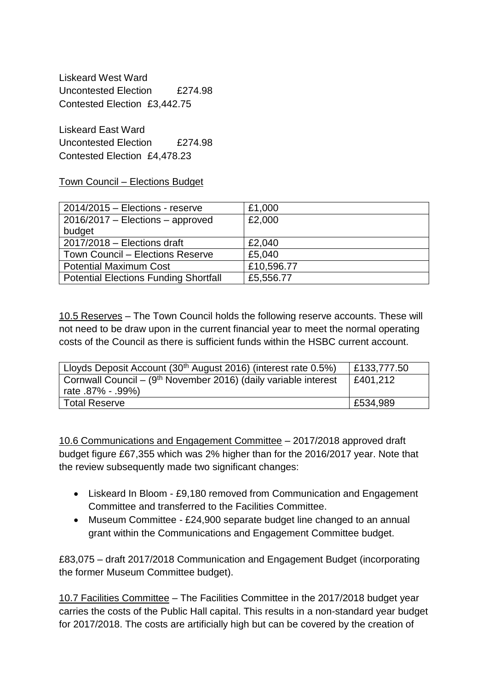Liskeard West Ward Uncontested Election £274.98 Contested Election £3,442.75

Liskeard East Ward Uncontested Flection £274.98 Contested Election £4,478.23

Town Council – Elections Budget

| $2014/2015 -$ Elections - reserve            | £1,000     |
|----------------------------------------------|------------|
| $2016/2017$ – Elections – approved           | £2,000     |
| budget                                       |            |
| $2017/2018$ - Elections draft                | £2,040     |
| Town Council – Elections Reserve             | £5,040     |
| <b>Potential Maximum Cost</b>                | £10,596.77 |
| <b>Potential Elections Funding Shortfall</b> | £5,556.77  |

10.5 Reserves – The Town Council holds the following reserve accounts. These will not need to be draw upon in the current financial year to meet the normal operating costs of the Council as there is sufficient funds within the HSBC current account.

| Lloyds Deposit Account (30 <sup>th</sup> August 2016) (interest rate 0.5%) | £133,777.50 |
|----------------------------------------------------------------------------|-------------|
| Cornwall Council – $(9th$ November 2016) (daily variable interest          | £401,212    |
| rate 87% - 99%)                                                            |             |
| <b>Total Reserve</b>                                                       | £534,989    |

10.6 Communications and Engagement Committee – 2017/2018 approved draft budget figure £67,355 which was 2% higher than for the 2016/2017 year. Note that the review subsequently made two significant changes:

- Liskeard In Bloom £9,180 removed from Communication and Engagement Committee and transferred to the Facilities Committee.
- Museum Committee £24,900 separate budget line changed to an annual grant within the Communications and Engagement Committee budget.

£83,075 – draft 2017/2018 Communication and Engagement Budget (incorporating the former Museum Committee budget).

10.7 Facilities Committee – The Facilities Committee in the 2017/2018 budget year carries the costs of the Public Hall capital. This results in a non-standard year budget for 2017/2018. The costs are artificially high but can be covered by the creation of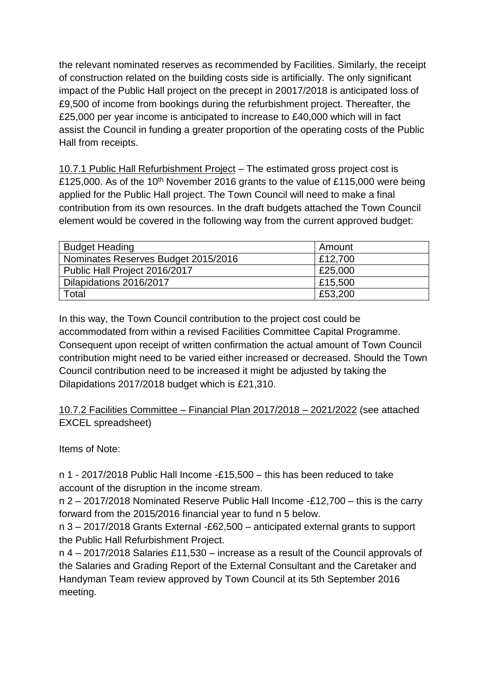the relevant nominated reserves as recommended by Facilities. Similarly, the receipt of construction related on the building costs side is artificially. The only significant impact of the Public Hall project on the precept in 20017/2018 is anticipated loss of £9,500 of income from bookings during the refurbishment project. Thereafter, the £25,000 per year income is anticipated to increase to £40,000 which will in fact assist the Council in funding a greater proportion of the operating costs of the Public Hall from receipts.

10.7.1 Public Hall Refurbishment Project – The estimated gross project cost is £125,000. As of the 10<sup>th</sup> November 2016 grants to the value of £115,000 were being applied for the Public Hall project. The Town Council will need to make a final contribution from its own resources. In the draft budgets attached the Town Council element would be covered in the following way from the current approved budget:

| <b>Budget Heading</b>               | Amount  |
|-------------------------------------|---------|
| Nominates Reserves Budget 2015/2016 | £12,700 |
| Public Hall Project 2016/2017       | £25,000 |
| Dilapidations 2016/2017             | E15,500 |
| Total                               | £53,200 |

In this way, the Town Council contribution to the project cost could be accommodated from within a revised Facilities Committee Capital Programme. Consequent upon receipt of written confirmation the actual amount of Town Council contribution might need to be varied either increased or decreased. Should the Town Council contribution need to be increased it might be adjusted by taking the Dilapidations 2017/2018 budget which is £21,310.

10.7.2 Facilities Committee – Financial Plan 2017/2018 – 2021/2022 (see attached EXCEL spreadsheet)

Items of Note:

n 1 - 2017/2018 Public Hall Income -£15,500 – this has been reduced to take account of the disruption in the income stream.

n 2 – 2017/2018 Nominated Reserve Public Hall Income -£12,700 – this is the carry forward from the 2015/2016 financial year to fund n 5 below.

n 3 – 2017/2018 Grants External -£62,500 – anticipated external grants to support the Public Hall Refurbishment Project.

n 4 – 2017/2018 Salaries £11,530 – increase as a result of the Council approvals of the Salaries and Grading Report of the External Consultant and the Caretaker and Handyman Team review approved by Town Council at its 5th September 2016 meeting.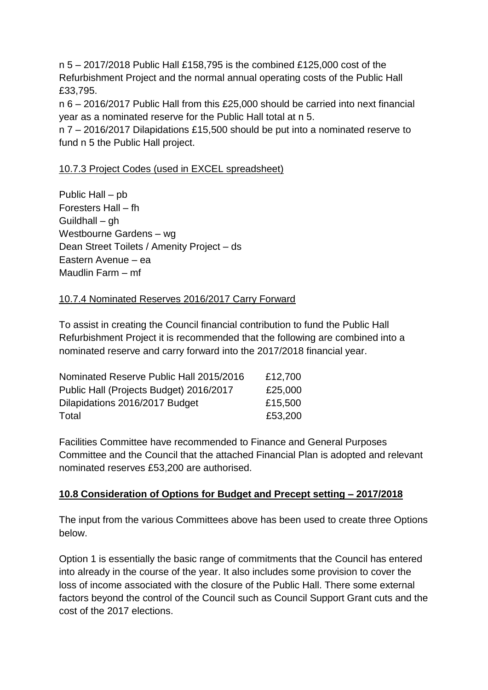n 5 – 2017/2018 Public Hall £158,795 is the combined £125,000 cost of the Refurbishment Project and the normal annual operating costs of the Public Hall £33,795.

n 6 – 2016/2017 Public Hall from this £25,000 should be carried into next financial year as a nominated reserve for the Public Hall total at n 5.

n 7 – 2016/2017 Dilapidations £15,500 should be put into a nominated reserve to fund n 5 the Public Hall project.

### 10.7.3 Project Codes (used in EXCEL spreadsheet)

Public Hall – pb Foresters Hall – fh Guildhall – gh Westbourne Gardens – wg Dean Street Toilets / Amenity Project – ds Eastern Avenue – ea Maudlin Farm – mf

#### 10.7.4 Nominated Reserves 2016/2017 Carry Forward

To assist in creating the Council financial contribution to fund the Public Hall Refurbishment Project it is recommended that the following are combined into a nominated reserve and carry forward into the 2017/2018 financial year.

| Nominated Reserve Public Hall 2015/2016 | £12,700 |
|-----------------------------------------|---------|
| Public Hall (Projects Budget) 2016/2017 | £25,000 |
| Dilapidations 2016/2017 Budget          | £15,500 |
| Total                                   | £53,200 |

Facilities Committee have recommended to Finance and General Purposes Committee and the Council that the attached Financial Plan is adopted and relevant nominated reserves £53,200 are authorised.

### **10.8 Consideration of Options for Budget and Precept setting – 2017/2018**

The input from the various Committees above has been used to create three Options below.

Option 1 is essentially the basic range of commitments that the Council has entered into already in the course of the year. It also includes some provision to cover the loss of income associated with the closure of the Public Hall. There some external factors beyond the control of the Council such as Council Support Grant cuts and the cost of the 2017 elections.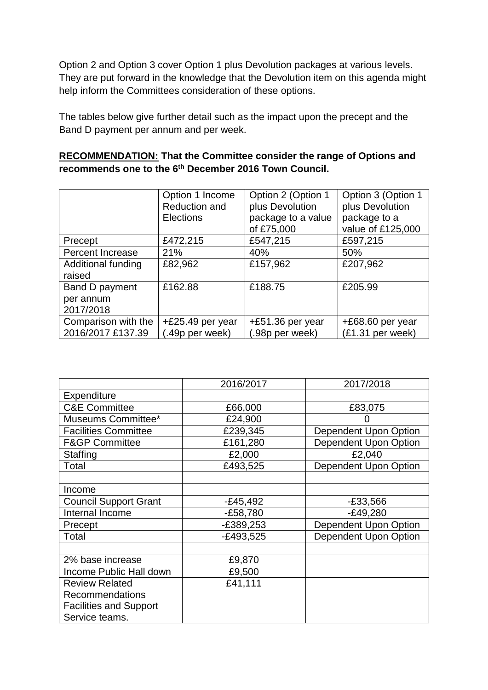Option 2 and Option 3 cover Option 1 plus Devolution packages at various levels. They are put forward in the knowledge that the Devolution item on this agenda might help inform the Committees consideration of these options.

The tables below give further detail such as the impact upon the precept and the Band D payment per annum and per week.

### **RECOMMENDATION: That the Committee consider the range of Options and recommends one to the 6th December 2016 Town Council.**

|                         | Option 1 Income   | Option 2 (Option 1 | Option 3 (Option 1 |
|-------------------------|-------------------|--------------------|--------------------|
|                         | Reduction and     | plus Devolution    | plus Devolution    |
|                         | <b>Elections</b>  | package to a value | package to a       |
|                         |                   | of £75,000         | value of £125,000  |
| Precept                 | £472,215          | £547,215           | £597,215           |
| <b>Percent Increase</b> | 21%               | 40%                | 50%                |
| Additional funding      | £82,962           | £157,962           | £207,962           |
| raised                  |                   |                    |                    |
| Band D payment          | £162.88           | £188.75            | £205.99            |
| per annum               |                   |                    |                    |
| 2017/2018               |                   |                    |                    |
| Comparison with the     | +£25.49 per year  | $+£51.36$ per year | +£68.60 per year   |
| 2016/2017 £137.39       | $(.49p$ per week) | (.98p per week)    | (£1.31 per week)   |

|                               | 2016/2017   | 2017/2018             |
|-------------------------------|-------------|-----------------------|
| <b>Expenditure</b>            |             |                       |
| <b>C&amp;E Committee</b>      | £66,000     | £83,075               |
| Museums Committee*            | £24,900     |                       |
| <b>Facilities Committee</b>   | £239,345    | Dependent Upon Option |
| <b>F&amp;GP Committee</b>     | £161,280    | Dependent Upon Option |
| Staffing                      | £2,000      | £2,040                |
| Total                         | £493,525    | Dependent Upon Option |
|                               |             |                       |
| Income                        |             |                       |
| <b>Council Support Grant</b>  | $-E45,492$  | $-£33,566$            |
| Internal Income               | $-E58,780$  | $-E49,280$            |
| Precept                       | $-E389,253$ | Dependent Upon Option |
| Total                         | -£493,525   | Dependent Upon Option |
|                               |             |                       |
| 2% base increase              | £9,870      |                       |
| Income Public Hall down       | £9,500      |                       |
| <b>Review Related</b>         | £41,111     |                       |
| <b>Recommendations</b>        |             |                       |
| <b>Facilities and Support</b> |             |                       |
| Service teams.                |             |                       |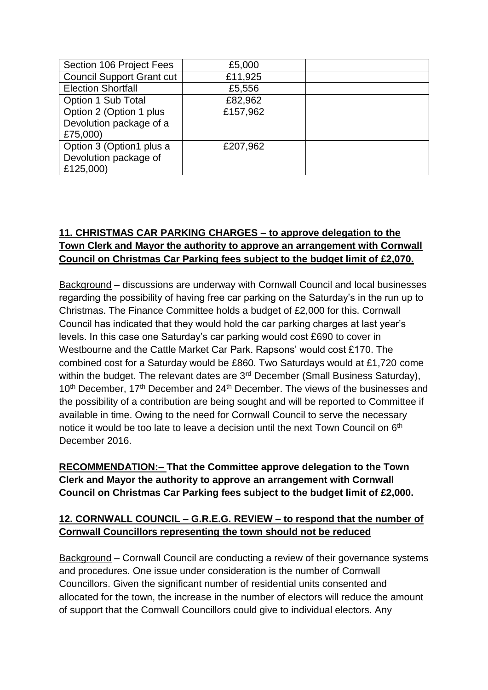| Section 106 Project Fees                                       | £5,000   |  |
|----------------------------------------------------------------|----------|--|
| <b>Council Support Grant cut</b>                               | £11,925  |  |
| <b>Election Shortfall</b>                                      | £5,556   |  |
| Option 1 Sub Total                                             | £82,962  |  |
| Option 2 (Option 1 plus<br>Devolution package of a<br>£75,000) | £157,962 |  |
| Option 3 (Option1 plus a<br>Devolution package of<br>£125,000) | £207,962 |  |

# **11. CHRISTMAS CAR PARKING CHARGES – to approve delegation to the Town Clerk and Mayor the authority to approve an arrangement with Cornwall Council on Christmas Car Parking fees subject to the budget limit of £2,070.**

Background – discussions are underway with Cornwall Council and local businesses regarding the possibility of having free car parking on the Saturday's in the run up to Christmas. The Finance Committee holds a budget of £2,000 for this. Cornwall Council has indicated that they would hold the car parking charges at last year's levels. In this case one Saturday's car parking would cost £690 to cover in Westbourne and the Cattle Market Car Park. Rapsons' would cost £170. The combined cost for a Saturday would be £860. Two Saturdays would at £1,720 come within the budget. The relevant dates are 3<sup>rd</sup> December (Small Business Saturday), 10<sup>th</sup> December, 17<sup>th</sup> December and 24<sup>th</sup> December. The views of the businesses and the possibility of a contribution are being sought and will be reported to Committee if available in time. Owing to the need for Cornwall Council to serve the necessary notice it would be too late to leave a decision until the next Town Council on 6<sup>th</sup> December 2016.

## **RECOMMENDATION:– That the Committee approve delegation to the Town Clerk and Mayor the authority to approve an arrangement with Cornwall Council on Christmas Car Parking fees subject to the budget limit of £2,000.**

### **12. CORNWALL COUNCIL – G.R.E.G. REVIEW – to respond that the number of Cornwall Councillors representing the town should not be reduced**

Background – Cornwall Council are conducting a review of their governance systems and procedures. One issue under consideration is the number of Cornwall Councillors. Given the significant number of residential units consented and allocated for the town, the increase in the number of electors will reduce the amount of support that the Cornwall Councillors could give to individual electors. Any